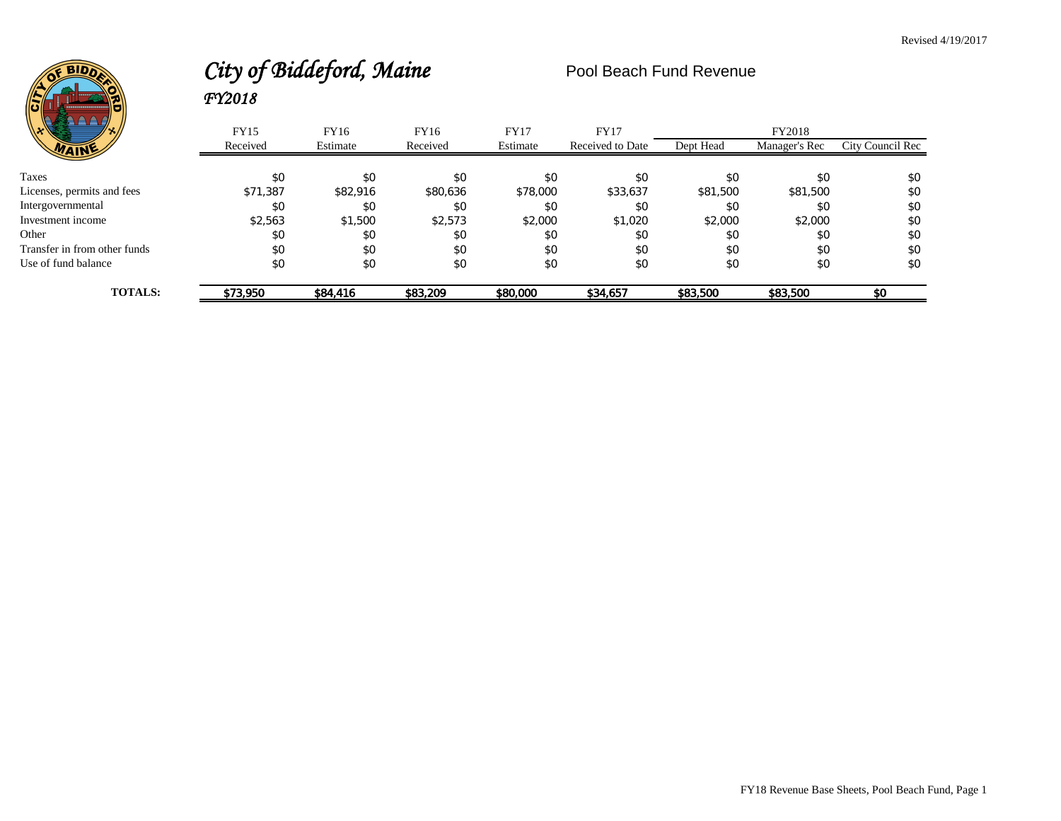

# City of Biddeford, Maine Pool Beach Fund Revenue *FY2018*

| リメ属<br>⁄∗.                   | <b>FY15</b> | FY16     | FY16     | <b>FY17</b> | <b>FY17</b>      |           | FY2018        |                  |
|------------------------------|-------------|----------|----------|-------------|------------------|-----------|---------------|------------------|
| WAINE                        | Received    | Estimate | Received | Estimate    | Received to Date | Dept Head | Manager's Rec | City Council Rec |
|                              |             |          |          |             |                  |           |               |                  |
| Taxes                        | \$0         | \$0      | \$0      | \$0         | \$0              | \$0       | \$0           | \$0              |
| Licenses, permits and fees   | \$71,387    | \$82,916 | \$80,636 | \$78,000    | \$33,637         | \$81,500  | \$81,500      | \$0              |
| Intergovernmental            | \$0         | \$0      | \$0      | \$0         | \$0              | \$0       | \$0           | \$0              |
| Investment income            | \$2.563     | \$1,500  | \$2.573  | \$2,000     | \$1.020          | \$2,000   | \$2,000       | \$0              |
| Other                        | \$0         | \$0      | \$0      | \$0         | \$0              | \$0       | \$0           | \$0              |
| Transfer in from other funds | \$0         | \$0      | \$0      | \$0         | \$0              | \$0       | \$0           | \$0              |
| Use of fund balance          | \$0         | \$0      | \$0      | \$0         | \$0              | \$0       | \$0           | \$0              |
| <b>TOTALS:</b>               | \$73.950    | \$84,416 | \$83,209 | \$80,000    | \$34,657         | \$83,500  | \$83,500      | \$በ              |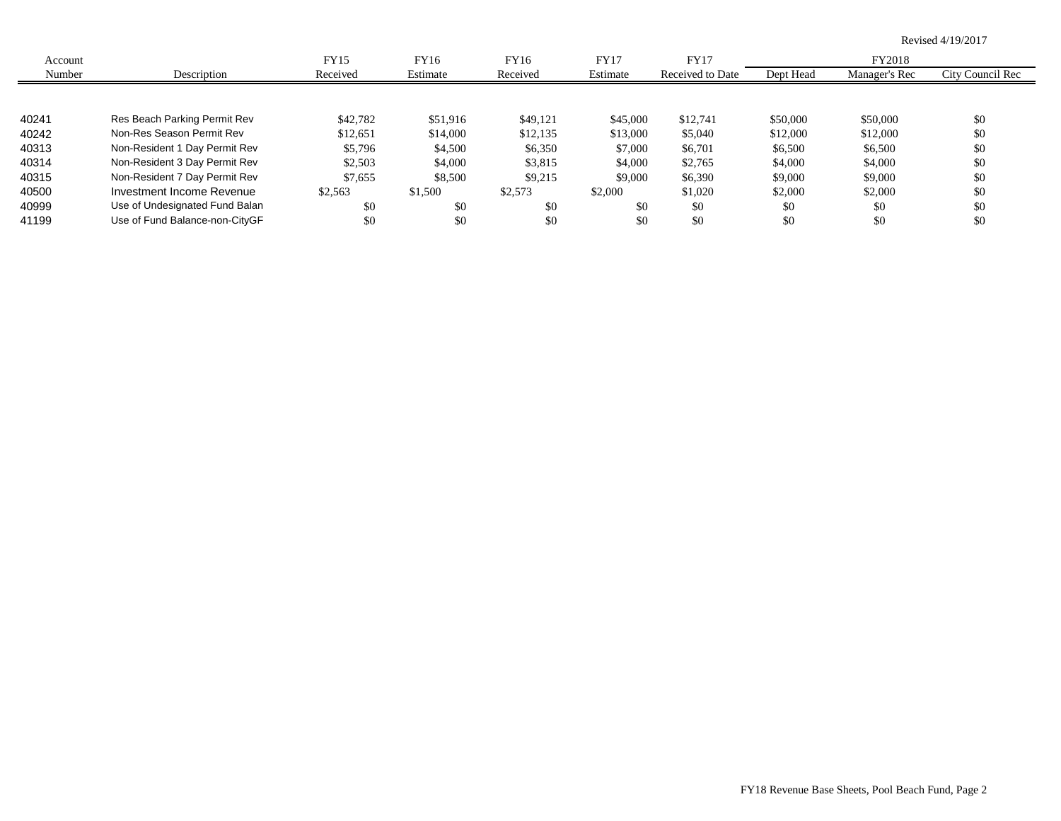|         |                                |          |          |          |             |                  |           |               | Revised 4/19/2017 |
|---------|--------------------------------|----------|----------|----------|-------------|------------------|-----------|---------------|-------------------|
| Account |                                | FY15     | FY16     | FY16     | <b>FY17</b> | <b>FY17</b>      |           | FY2018        |                   |
| Number  | Description                    | Received | Estimate | Received | Estimate    | Received to Date | Dept Head | Manager's Rec | City Council Rec  |
|         |                                |          |          |          |             |                  |           |               |                   |
| 40241   | Res Beach Parking Permit Rev   | \$42,782 | \$51,916 | \$49,121 | \$45,000    | \$12,741         | \$50,000  | \$50,000      | \$0               |
| 40242   | Non-Res Season Permit Rev      | \$12,651 | \$14,000 | \$12,135 | \$13,000    | \$5,040          | \$12,000  | \$12,000      | \$0               |
| 40313   | Non-Resident 1 Day Permit Rev  | \$5,796  | \$4,500  | \$6,350  | \$7,000     | \$6,701          | \$6,500   | \$6,500       | \$0               |
| 40314   | Non-Resident 3 Day Permit Rev  | \$2,503  | \$4,000  | \$3,815  | \$4,000     | \$2,765          | \$4,000   | \$4,000       | \$0               |
| 40315   | Non-Resident 7 Day Permit Rev  | \$7,655  | \$8,500  | \$9,215  | \$9,000     | \$6,390          | \$9,000   | \$9,000       | \$0               |
| 40500   | Investment Income Revenue      | \$2,563  | \$1,500  | \$2,573  | \$2,000     | \$1,020          | \$2,000   | \$2,000       | \$0               |
| 40999   | Use of Undesignated Fund Balan | \$0      | \$0      | \$0      | \$0         | \$0              | \$0       | \$0           | \$0               |
| 41199   | Use of Fund Balance-non-CityGF | \$0      | \$0      | \$0      | \$0         | \$0              | \$0       | \$0           | \$0               |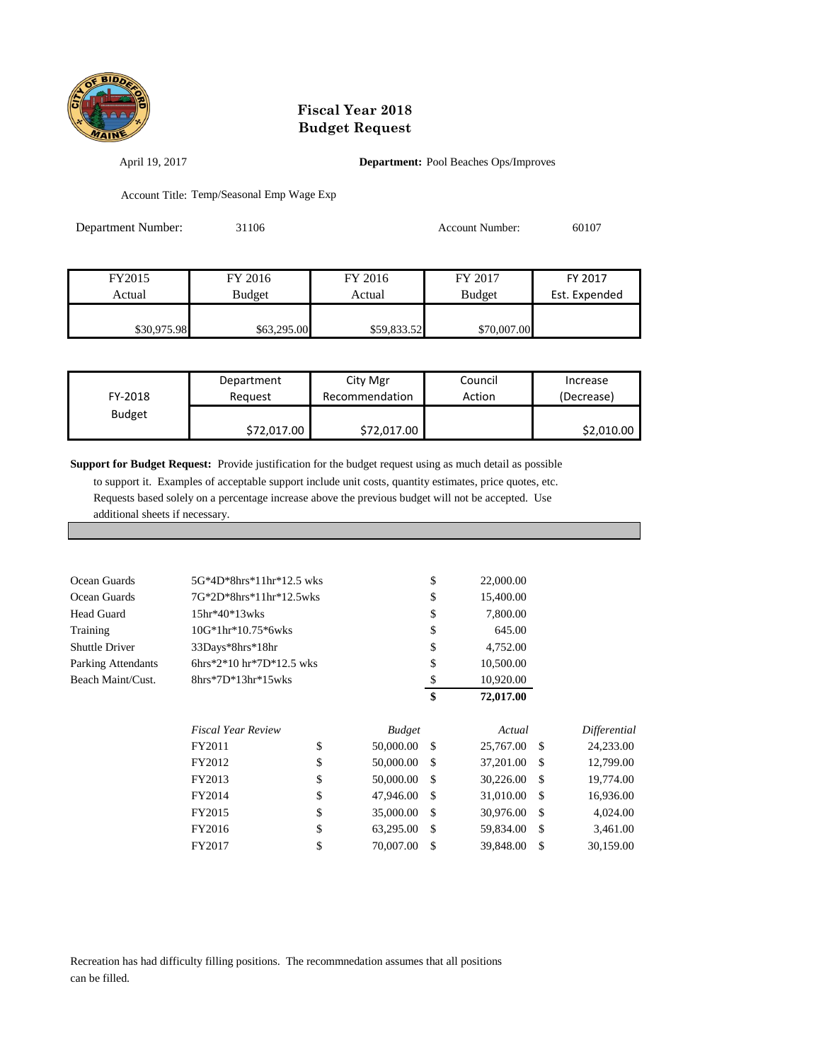

April 19, 2017 **Department:** Pool Beaches Ops/Improves

Account Title: Temp/Seasonal Emp Wage Exp

| Department Number: | 31106         |             | <b>Account Number:</b> | 60107         |
|--------------------|---------------|-------------|------------------------|---------------|
|                    |               |             |                        |               |
| FY2015             | FY 2016       | FY 2016     | FY 2017                | FY 2017       |
| Actual             | <b>Budget</b> | Actual      | <b>Budget</b>          | Est. Expended |
| \$30,975.98        | \$63,295.00   | \$59,833.52 | \$70,007.00            |               |

| FY-2018       | Department  | City Mgr       | Council | Increase   |
|---------------|-------------|----------------|---------|------------|
|               | Reguest     | Recommendation | Action  | (Decrease) |
| <b>Budget</b> | \$72,017.00 | \$72,017.00    |         | \$2,010.00 |

**Support for Budget Request:** Provide justification for the budget request using as much detail as possible

 to support it. Examples of acceptable support include unit costs, quantity estimates, price quotes, etc. Requests based solely on a percentage increase above the previous budget will not be accepted. Use additional sheets if necessary.

| Ocean Guards       | 5G*4D*8hrs*11hr*12.5 wks  |                 | \$            | 22,000.00    |               |              |
|--------------------|---------------------------|-----------------|---------------|--------------|---------------|--------------|
| Ocean Guards       | 7G*2D*8hrs*11hr*12.5wks   |                 | \$            | 15,400.00    |               |              |
| Head Guard         | 15hr*40*13wks             |                 | \$            | 7,800.00     |               |              |
| Training           | $10G*1hr*10.75*6wks$      |                 | \$            | 645.00       |               |              |
| Shuttle Driver     | 33Days*8hrs*18hr          |                 | \$            | 4,752.00     |               |              |
| Parking Attendants | 6hrs*2*10 hr*7D*12.5 wks  |                 | \$            | 10,500.00    |               |              |
| Beach Maint/Cust.  | $8hrs*7D*13hr*15wks$      |                 | \$            | 10,920.00    |               |              |
|                    |                           |                 | \$            | 72,017.00    |               |              |
|                    | <b>Fiscal Year Review</b> | <b>Budget</b>   |               | Actual       |               | Differential |
|                    | FY2011                    | \$<br>50,000.00 | -S            | 25,767.00 \$ |               | 24,233.00    |
|                    | FY2012                    | \$<br>50,000.00 | -S            | 37,201.00 \$ |               | 12,799.00    |
|                    | FY2013                    | \$<br>50,000.00 | <sup>\$</sup> | 30,226.00    | <sup>\$</sup> | 19,774.00    |
|                    | FY2014                    | \$<br>47,946.00 | \$.           | 31,010.00    | \$            | 16,936.00    |
|                    | FY2015                    | \$<br>35,000.00 | \$            | 30,976.00    | -\$           | 4,024.00     |
|                    | FY2016                    | \$<br>63,295.00 | \$            | 59,834.00    | <sup>\$</sup> | 3,461.00     |
|                    | FY2017                    | \$<br>70,007.00 | \$            | 39,848.00    | \$            | 30,159.00    |

Recreation has had difficulty filling positions. The recommnedation assumes that all positions can be filled.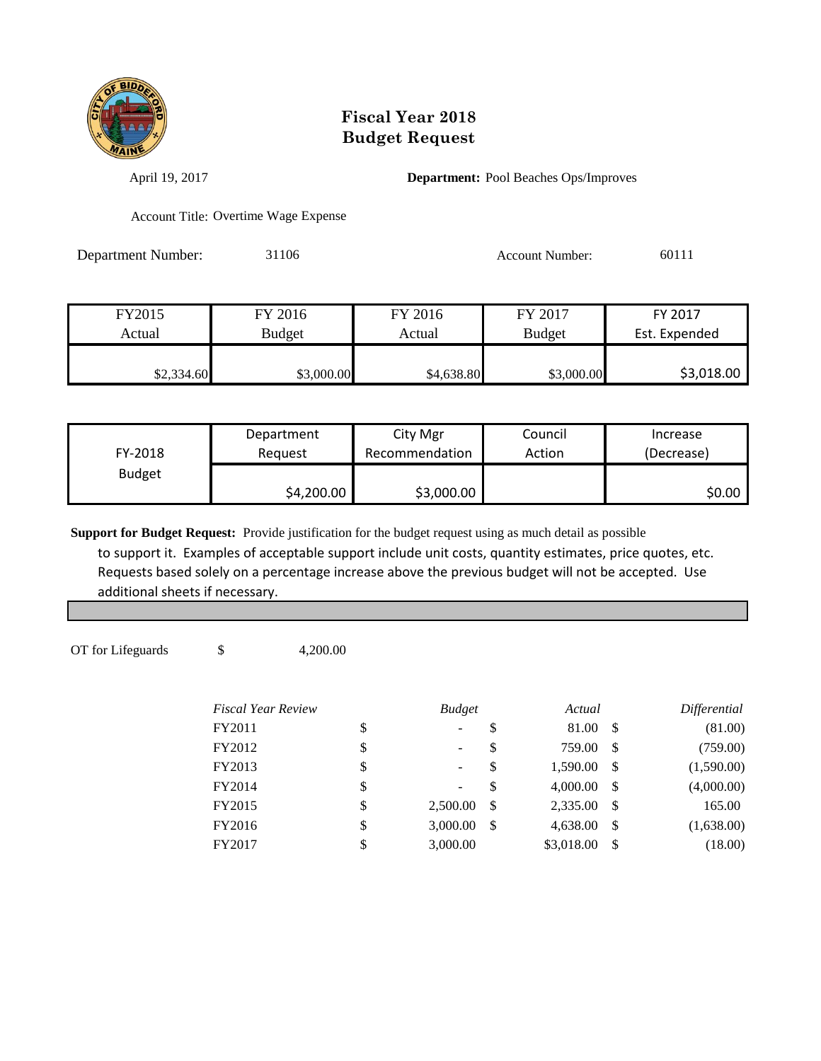

April 19, 2017 **Department:** Pool Beaches Ops/Improves

Account Title: Overtime Wage Expense

| Department Number: | 31106 | <b>Account Number:</b> | 60111 |
|--------------------|-------|------------------------|-------|
|                    |       |                        |       |

| FY2015     | FY 2016    | FY 2016    | FY 2017       | FY 2017       |
|------------|------------|------------|---------------|---------------|
| Actual     | Budget     | Actual     | <b>Budget</b> | Est. Expended |
| \$2,334.60 | \$3,000.00 | \$4,638.80 | \$3,000.00    | \$3,018.00    |

|               | Department | City Mgr       | Council | Increase   |
|---------------|------------|----------------|---------|------------|
| FY-2018       | Reguest    | Recommendation | Action  | (Decrease) |
| <b>Budget</b> |            |                |         |            |
|               | \$4,200.00 | \$3,000.00     |         | \$0.00     |

**Support for Budget Request:** Provide justification for the budget request using as much detail as possible to support it. Examples of acceptable support include unit costs, quantity estimates, price quotes, etc. Requests based solely on a percentage increase above the previous budget will not be accepted. Use additional sheets if necessary.

OT for Lifeguards  $\qquad$  \$ 4,200.00

| <b>Fiscal Year Review</b> | <b>Budget</b>         |               | Actual     |     | Differential |
|---------------------------|-----------------------|---------------|------------|-----|--------------|
| FY2011                    | \$                    | \$            | 81.00      | -\$ | (81.00)      |
| FY2012                    | \$<br>-               | \$            | 759.00     | -\$ | (759.00)     |
| FY2013                    | \$<br>$\qquad \qquad$ | \$            | 1,590.00   | -S  | (1,590.00)   |
| FY2014                    | \$<br>-               | \$            | 4,000.00   | -S  | (4,000.00)   |
| FY2015                    | \$<br>2,500.00        | -S            | 2,335.00   | -\$ | 165.00       |
| FY2016                    | \$<br>3,000.00        | <sup>\$</sup> | 4,638.00   | S   | (1,638.00)   |
| FY2017                    | \$<br>3,000.00        |               | \$3,018.00 | S   | (18.00)      |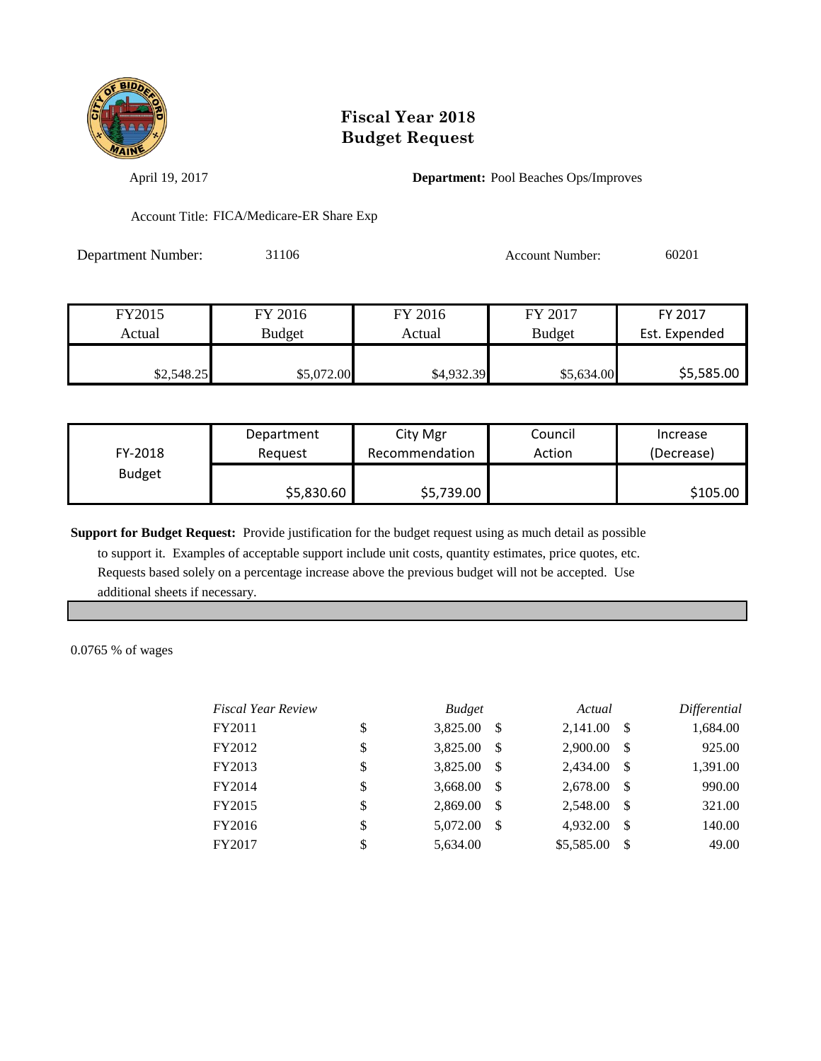

April 19, 2017 **Department:** Pool Beaches Ops/Improves

Account Title: FICA/Medicare-ER Share Exp

Department Number: 31106 Account Number: 60201

| FY2015     | FY 2016       | FY 2016    | FY 2017       | FY 2017       |
|------------|---------------|------------|---------------|---------------|
| Actual     | <b>Budget</b> | Actual     | <b>Budget</b> | Est. Expended |
| \$2,548.25 | \$5,072.00    | \$4,932.39 | \$5,634.00    | \$5,585.00    |

|               | Department | City Mgr       | Council | Increase   |
|---------------|------------|----------------|---------|------------|
| FY-2018       | Request    | Recommendation | Action  | (Decrease) |
| <b>Budget</b> |            |                |         |            |
|               | \$5,830.60 | \$5,739.00     |         | \$105.00   |

**Support for Budget Request:** Provide justification for the budget request using as much detail as possible to support it. Examples of acceptable support include unit costs, quantity estimates, price quotes, etc. Requests based solely on a percentage increase above the previous budget will not be accepted. Use additional sheets if necessary.

0.0765 % of wages

| <b>Fiscal Year Review</b> | <b>Budget</b>  |               | Actual     |               | Differential |
|---------------------------|----------------|---------------|------------|---------------|--------------|
| FY2011                    | \$<br>3,825.00 | -S            | 2,141.00   | -\$           | 1,684.00     |
| FY2012                    | \$<br>3,825.00 | -S            | 2,900.00   | -S            | 925.00       |
| FY2013                    | \$<br>3,825.00 | -S            | 2,434.00   | -\$           | 1,391.00     |
| FY2014                    | \$<br>3,668.00 | <sup>\$</sup> | 2,678.00   | -\$           | 990.00       |
| FY2015                    | \$<br>2,869.00 | -S            | 2,548.00   | -S            | 321.00       |
| FY2016                    | \$<br>5,072.00 | -S            | 4,932.00   | <sup>\$</sup> | 140.00       |
| FY2017                    | \$<br>5,634.00 |               | \$5,585.00 | -S            | 49.00        |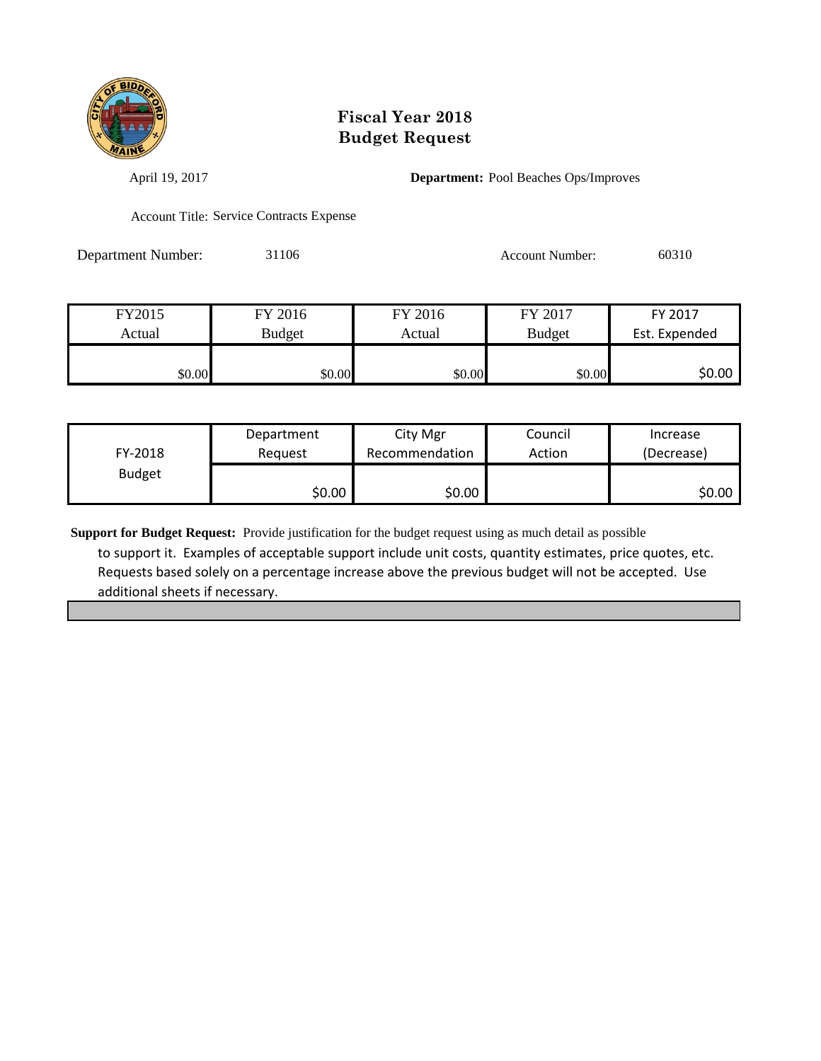

April 19, 2017 **Department:** Pool Beaches Ops/Improves

Account Title: Service Contracts Expense

Department Number: 31106 31106 Account Number: 60310

| FY2015 | FY 2016       | FY 2016 | FY 2017       | FY 2017       |
|--------|---------------|---------|---------------|---------------|
| Actual | <b>Budget</b> | Actual  | <b>Budget</b> | Est. Expended |
| \$0.00 | \$0.00        | \$0.00  | \$0.00        | \$0.00        |

|               | Department | City Mgr       | Council | Increase   |
|---------------|------------|----------------|---------|------------|
| FY-2018       | Reauest    | Recommendation | Action  | (Decrease) |
| <b>Budget</b> |            |                |         |            |
|               | \$0.00     | \$0.00         |         | \$0.00     |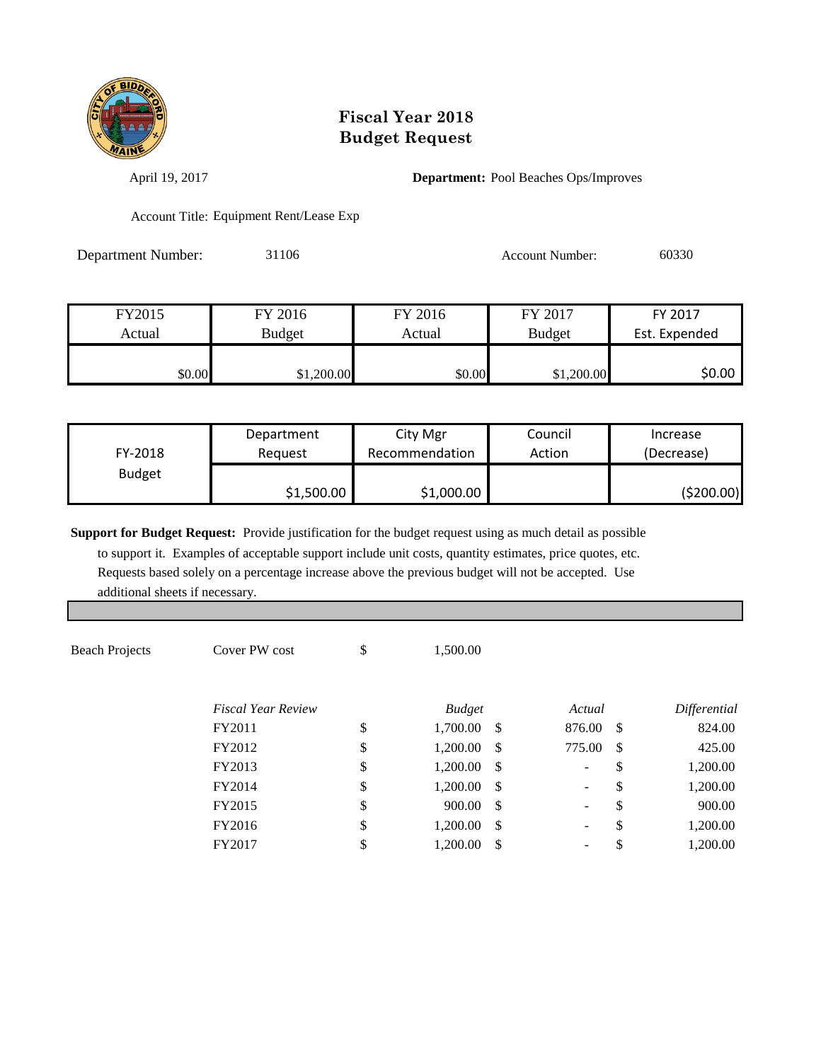

April 19, 2017 **Department:** Pool Beaches Ops/Improves

Account Title: Equipment Rent/Lease Exp

Department Number: 31106 31106 Account Number: 60330

| FY2015<br>Actual | FY 2016<br>FY 2016<br><b>Budget</b><br>Actual |        | FY 2017<br>FY 2017<br><b>Budget</b><br>Est. Expended |          |  |
|------------------|-----------------------------------------------|--------|------------------------------------------------------|----------|--|
| \$0.00           | \$1,200.00                                    | \$0.00 | \$1,200.00                                           | \$0.00 l |  |

|               | Department | City Mgr       | Council | Increase   |
|---------------|------------|----------------|---------|------------|
| FY-2018       | Reauest    | Recommendation | Action  | (Decrease) |
| <b>Budget</b> |            |                |         |            |
|               | \$1,500.00 | \$1,000.00     |         | (5200.00)  |

| <b>Beach Projects</b> | Cover PW cost             | \$<br>1,500.00 |      |                          |    |              |
|-----------------------|---------------------------|----------------|------|--------------------------|----|--------------|
|                       | <b>Fiscal Year Review</b> | <b>Budget</b>  |      | Actual                   |    | Differential |
|                       | FY2011                    | \$<br>1,700.00 | - \$ | 876.00                   | \$ | 824.00       |
|                       | FY2012                    | \$<br>1,200.00 | - \$ | 775.00                   | \$ | 425.00       |
|                       | FY2013                    | \$<br>1,200.00 | - \$ | $\overline{\phantom{a}}$ | \$ | 1,200.00     |
|                       | FY2014                    | \$<br>1,200.00 | - \$ | $\overline{\phantom{a}}$ | \$ | 1,200.00     |
|                       | FY2015                    | \$<br>900.00   | - \$ | $\overline{\phantom{a}}$ | S  | 900.00       |
|                       | FY2016                    | \$<br>1,200.00 | -\$  | $\overline{\phantom{a}}$ | \$ | 1,200.00     |
|                       | FY2017                    | \$<br>1,200.00 | -S   | $\overline{\phantom{a}}$ | \$ | 1,200.00     |
|                       |                           |                |      |                          |    |              |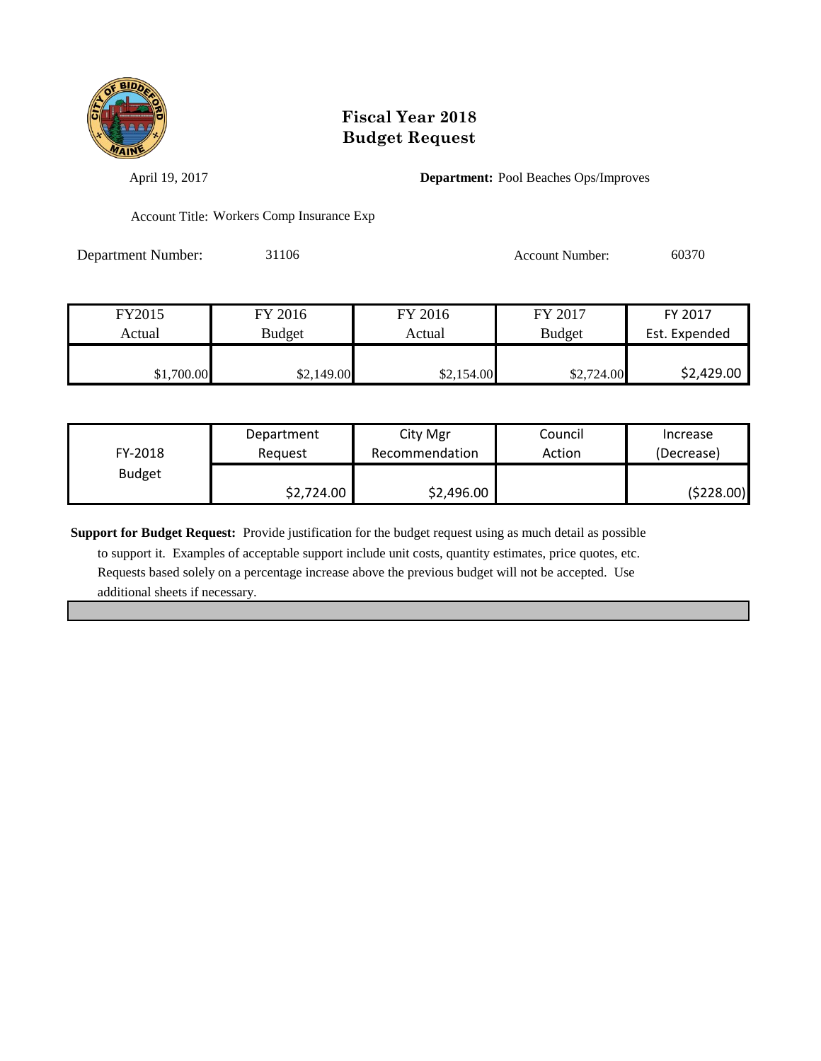

April 19, 2017 **Department:** Pool Beaches Ops/Improves

Account Title: Workers Comp Insurance Exp

Department Number: 31106 31106 Account Number: 60370

| FY2015     | FY 2016       | FY 2016    | FY 2017       | FY 2017       |
|------------|---------------|------------|---------------|---------------|
| Actual     | <b>Budget</b> | Actual     | <b>Budget</b> | Est. Expended |
| \$1,700.00 | \$2,149.00    | \$2,154.00 | \$2,724.00    | \$2,429.00    |

|               | Department | City Mgr       | Council | Increase   |
|---------------|------------|----------------|---------|------------|
| FY-2018       | Reguest    | Recommendation | Action  | (Decrease) |
| <b>Budget</b> |            |                |         |            |
|               | \$2,724.00 | \$2,496.00     |         | (\$228.00) |

**Support for Budget Request:** Provide justification for the budget request using as much detail as possible

 to support it. Examples of acceptable support include unit costs, quantity estimates, price quotes, etc. Requests based solely on a percentage increase above the previous budget will not be accepted. Use additional sheets if necessary.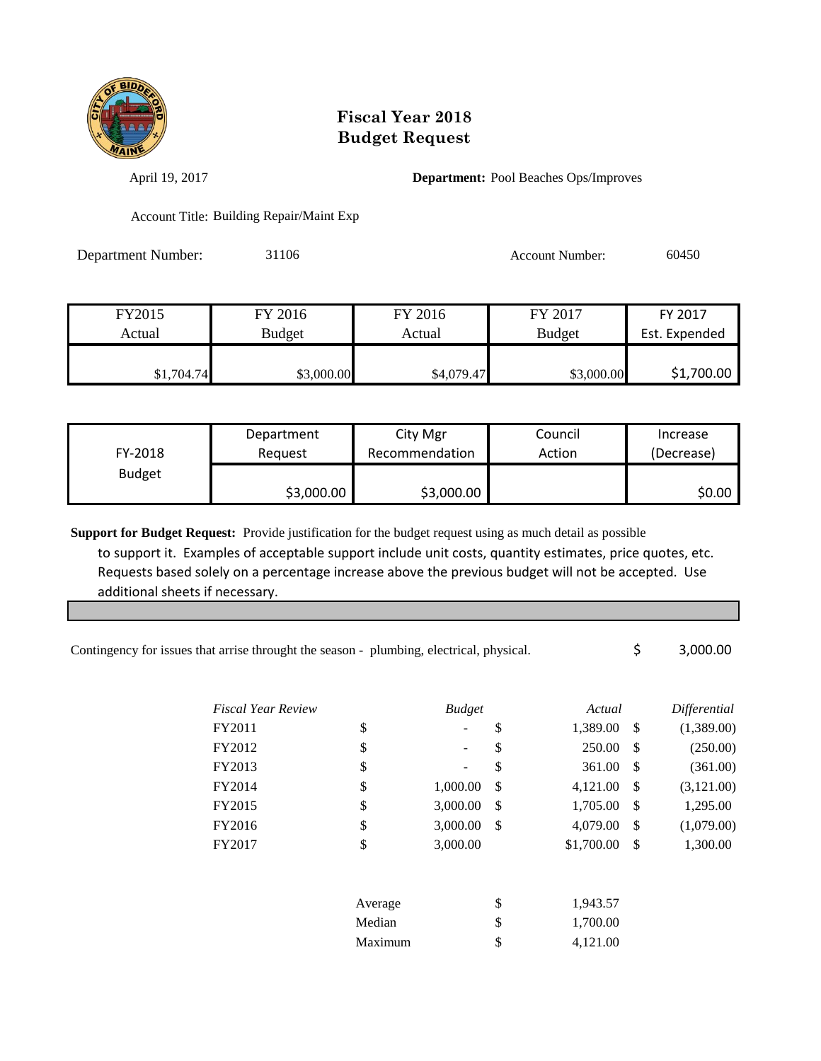

April 19, 2017 **Department:** Pool Beaches Ops/Improves

Account Title: Building Repair/Maint Exp

Department Number: 31106 31106 Account Number: 60450

| FY2015     | FY 2016       | FY 2016    | FY 2017       | FY 2017       |
|------------|---------------|------------|---------------|---------------|
| Actual     | <b>Budget</b> | Actual     | <b>Budget</b> | Est. Expended |
| \$1,704.74 | \$3,000.00    | \$4,079.47 | \$3,000.00    | \$1,700.00    |

|               | Department | City Mgr       | Council | Increase   |
|---------------|------------|----------------|---------|------------|
| FY-2018       | Reauest    | Recommendation | Action  | (Decrease) |
| <b>Budget</b> |            |                |         |            |
|               | \$3,000.00 | \$3,000.00     |         | \$0.00     |

| Contingency for issues that arrise throught the season - plumbing, electrical, physical. |  |  | 3,000.00 |
|------------------------------------------------------------------------------------------|--|--|----------|
|------------------------------------------------------------------------------------------|--|--|----------|

| Fiscal Year Review |         | <b>Budget</b> | Actual         |                           | Differential |
|--------------------|---------|---------------|----------------|---------------------------|--------------|
| FY2011             | \$      |               | \$<br>1,389.00 | $\boldsymbol{\mathsf{S}}$ | (1,389.00)   |
| FY2012             | \$      |               | \$<br>250.00   | \$                        | (250.00)     |
| FY2013             | \$      |               | \$<br>361.00   | \$                        | (361.00)     |
| FY2014             | \$      | 1,000.00      | \$<br>4,121.00 | $\boldsymbol{\mathsf{S}}$ | (3,121.00)   |
| FY2015             | \$      | 3,000.00      | \$<br>1,705.00 | \$                        | 1,295.00     |
| FY2016             | \$      | 3,000.00      | \$<br>4,079.00 | \$                        | (1,079.00)   |
| FY2017             | \$      | 3,000.00      | \$1,700.00     | $\boldsymbol{\mathsf{S}}$ | 1,300.00     |
|                    | Average |               | \$<br>1,943.57 |                           |              |
|                    | Median  |               | \$<br>1,700.00 |                           |              |
|                    | Maximum |               | \$<br>4,121.00 |                           |              |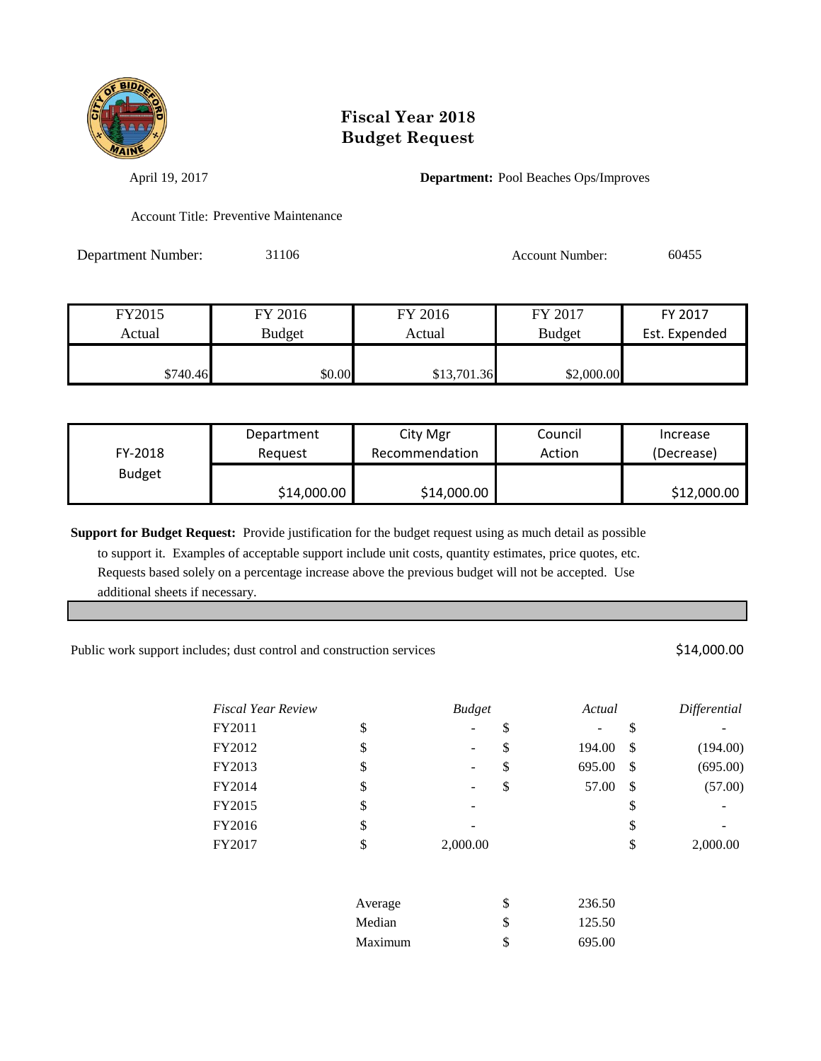

April 19, 2017 **Department:** Pool Beaches Ops/Improves

Account Title: Preventive Maintenance

Department Number: 31106 31106 Account Number: 60455

| FY2015   | FY 2016 | FY 2016     | FY 2017       | FY 2017       |
|----------|---------|-------------|---------------|---------------|
| Actual   | Budget  | Actual      | <b>Budget</b> | Est. Expended |
| \$740.46 | \$0.00  | \$13,701.36 | \$2,000.00    |               |

|               | Department  | City Mgr       | Council | Increase    |
|---------------|-------------|----------------|---------|-------------|
| FY-2018       | Request     | Recommendation | Action  | (Decrease)  |
| <b>Budget</b> |             |                |         |             |
|               | \$14,000.00 | \$14,000.00    |         | \$12,000.00 |

**Support for Budget Request:** Provide justification for the budget request using as much detail as possible to support it. Examples of acceptable support include unit costs, quantity estimates, price quotes, etc. Requests based solely on a percentage increase above the previous budget will not be accepted. Use additional sheets if necessary.

Public work support includes; dust control and construction services  $$14,000.00$ 

| Fiscal Year Review |         | <b>Budget</b> | Actual       |    | Differential |
|--------------------|---------|---------------|--------------|----|--------------|
| FY2011             | \$      |               | \$           | S  |              |
| FY2012             | \$      | -             | \$<br>194.00 | \$ | (194.00)     |
| FY2013             | \$      | -             | \$<br>695.00 | \$ | (695.00)     |
| FY2014             | \$      |               | \$<br>57.00  | \$ | (57.00)      |
| FY2015             | \$      |               |              | \$ |              |
| FY2016             | \$      |               |              | \$ |              |
| FY2017             | \$      | 2,000.00      |              | \$ | 2,000.00     |
|                    | Average |               | \$<br>236.50 |    |              |
|                    | Median  |               | \$<br>125.50 |    |              |
|                    | Maximum |               | \$<br>695.00 |    |              |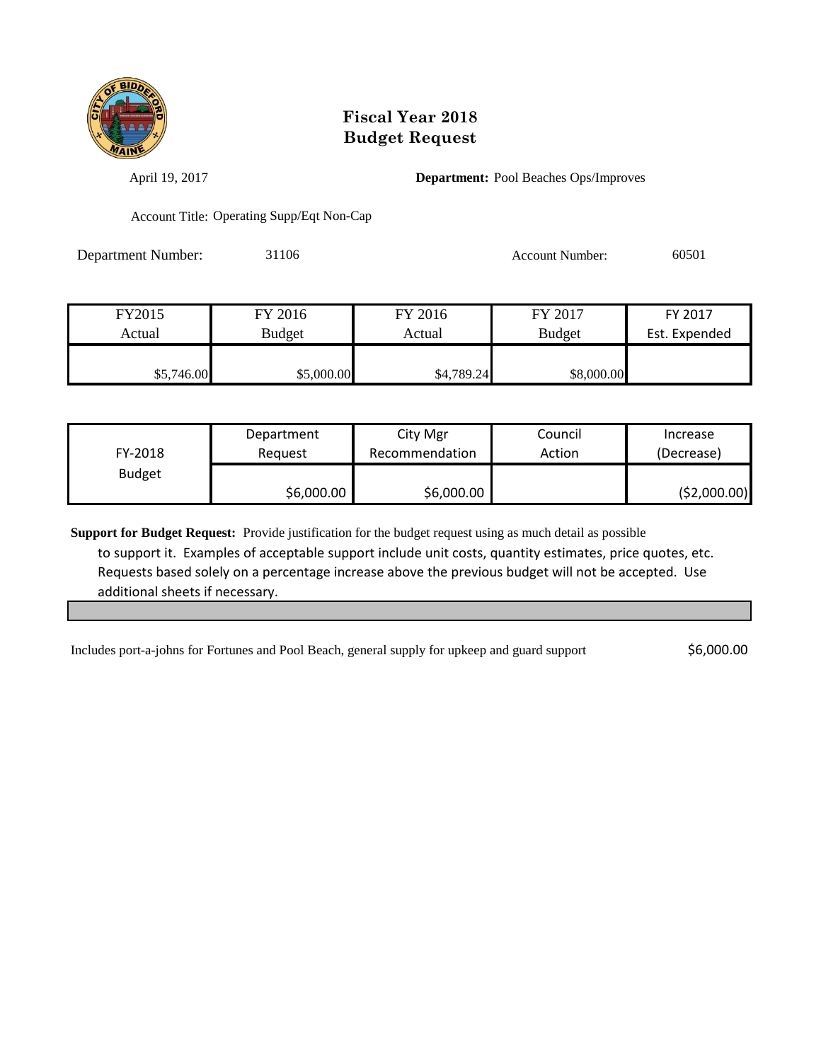

April 19, 2017 **Department:** Pool Beaches Ops/Improves

Account Title: Operating Supp/Eqt Non-Cap

Department Number: 31106 Account Number: 60501

| FY2015     | FY 2016       | FY 2016    | FY 2017       | FY 2017       |
|------------|---------------|------------|---------------|---------------|
| Actual     | <b>Budget</b> | Actual     | <b>Budget</b> | Est. Expended |
| \$5,746.00 | \$5,000.00    | \$4,789.24 | \$8,000.00    |               |

|               | Department | City Mgr       | Council | Increase      |
|---------------|------------|----------------|---------|---------------|
| FY-2018       | Reauest    | Recommendation | Action  | (Decrease)    |
| <b>Budget</b> |            |                |         |               |
|               | \$6,000.00 | \$6,000.00     |         | ( \$2,000.00) |

**Support for Budget Request:** Provide justification for the budget request using as much detail as possible to support it. Examples of acceptable support include unit costs, quantity estimates, price quotes, etc. Requests based solely on a percentage increase above the previous budget will not be accepted. Use additional sheets if necessary.

Includes port-a-johns for Fortunes and Pool Beach, general supply for upkeep and guard support \$6,000.00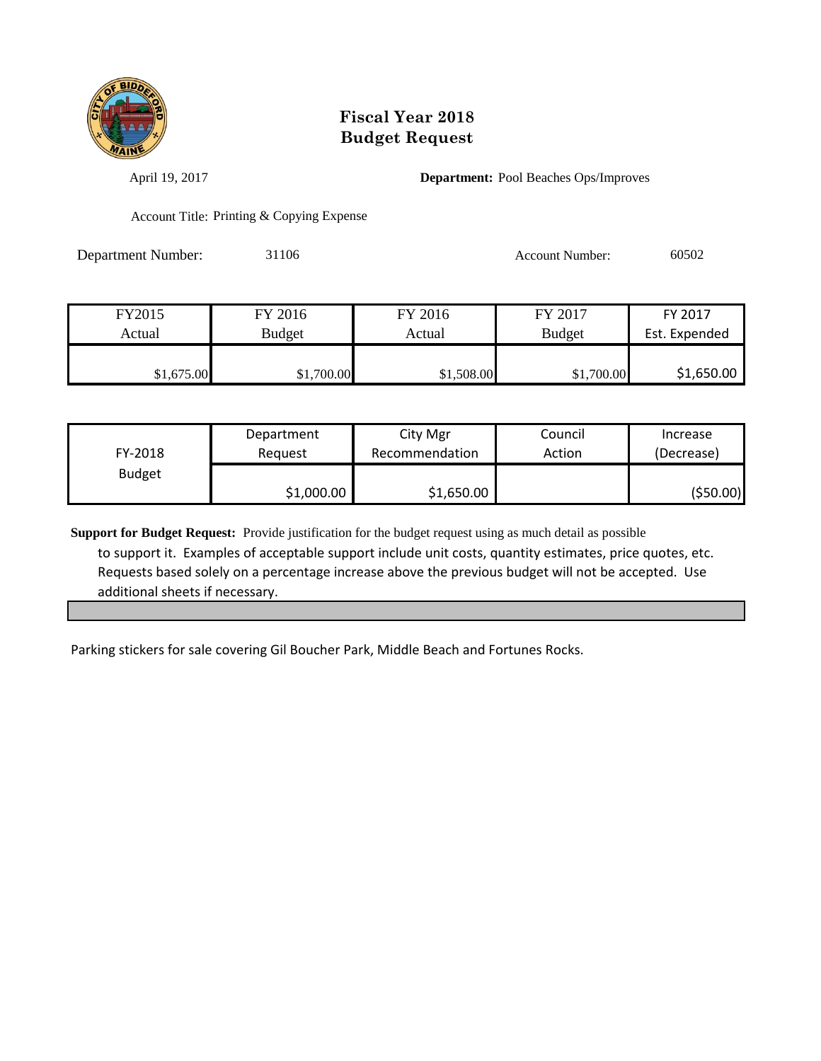

April 19, 2017 **Department:** Pool Beaches Ops/Improves

Account Title: Printing & Copying Expense

Department Number: 31106 31106 Account Number: 60502

| FY2015     | FY 2016    | FY 2016    | FY 2017       | FY 2017       |
|------------|------------|------------|---------------|---------------|
| Actual     | Budget     | Actual     | <b>Budget</b> | Est. Expended |
| \$1,675.00 | \$1,700.00 | \$1,508.00 | \$1,700.00    | \$1,650.00    |

|               | Department | City Mgr       | Council | Increase   |
|---------------|------------|----------------|---------|------------|
| FY-2018       | Reauest    | Recommendation | Action  | (Decrease) |
| <b>Budget</b> |            |                |         |            |
|               | \$1,000.00 | \$1,650.00     |         | ( \$50.00) |

**Support for Budget Request:** Provide justification for the budget request using as much detail as possible to support it. Examples of acceptable support include unit costs, quantity estimates, price quotes, etc. Requests based solely on a percentage increase above the previous budget will not be accepted. Use additional sheets if necessary.

Parking stickers for sale covering Gil Boucher Park, Middle Beach and Fortunes Rocks.